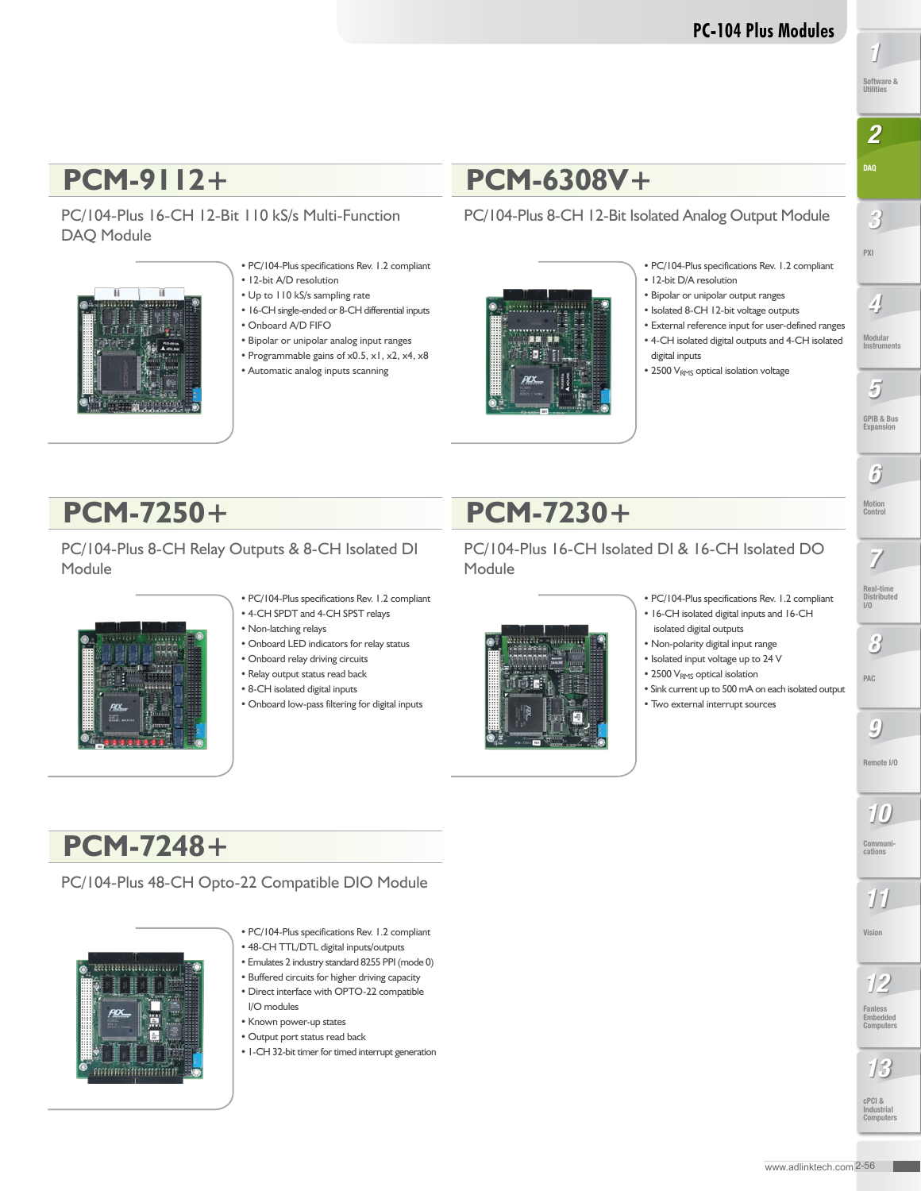DAQ

*2*

## **PCM-9112+**

PC/104-Plus 16-CH 12-Bit 110 kS/s Multi-Function DAQ Module



- PC/104-Plus specifications Rev. 1.2 compliant
- 12-bit A/D resolution
- Up to 110 kS/s sampling rate • 16-CH single-ended or 8-CH differential inputs
- Onboard A/D FIFO
- Bipolar or unipolar analog input ranges
- Programmable gains of x0.5, x1, x2, x4, x8 • Automatic analog inputs scanning



**PCM-6308V+**

- PC/104-Plus specifications Rev. 1.2 compliant
- 12-bit D/A resolution

PC/104-Plus 8-CH 12-Bit Isolated Analog Output Module

PC/104-Plus 16-CH Isolated DI & 16-CH Isolated DO

- Bipolar or unipolar output ranges
- Isolated 8-CH 12-bit voltage outputs
- External reference input for user-defined ranges
- 4-CH isolated digital outputs and 4-CH isolated digital inputs
- 2500 V<sub>RMS</sub> optical isolation voltage
- Fanless Embedded **Computers** *12* PXI *3* Modular<br>Instruments *4* GPIB & Bus Expansion *5* Motion Control *6* Real-time Distributed I/O *7* PAC *8* Remote I/O *9* Communications *10* Vision *11* cPCI & Industrial **Computers** *13*



PC/104-Plus 8-CH Relay Outputs & 8-CH Isolated DI Module



- PC/104-Plus specifications Rev. 1.2 compliant
- 4-CH SPDT and 4-CH SPST relays
- Non-latching relays
- Onboard LED indicators for relay status
- Onboard relay driving circuits
- Relay output status read back • 8-CH isolated digital inputs
- Onboard low-pass filtering for digital inputs



**PCM-7230+**

- - PC/104-Plus specifications Rev. 1.2 compliant
	- 16-CH isolated digital inputs and 16-CH isolated digital outputs
	- Non-polarity digital input range
	- Isolated input voltage up to 24 V
	- 2500 V<sub>RMS</sub> optical isolation
	- Sink current up to 500 mA on each isolated output • Two external interrupt sources

- 
- 



PC/104-Plus 48-CH Opto-22 Compatible DIO Module



- PC/104-Plus specifications Rev. 1.2 compliant
- 48-CH TTL/DTL digital inputs/outputs
- Emulates 2 industry standard 8255 PPI (mode 0)
- Buffered circuits for higher driving capacity
- Direct interface with OPTO-22 compatible I/O modules
- Known power-up states
- Output port status read back
- 1-CH 32-bit timer for timed interrupt generation

www.adlinktech.com 2-56